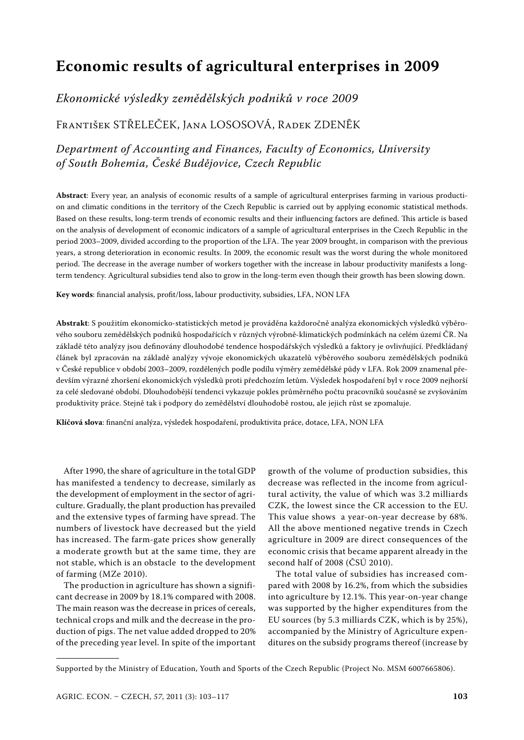# **Economic results of agricultural enterprises in 2009**

## *Ekonomické výsledky zemědělských podniků v roce 2009*

### František Střeleček, Jana Lososová, Radek Zdeněk

# *Department of Accounting and Finances, Faculty of Economics, University of South Bohemia, České Budějovice, Czech Republic*

**Abstract**: Every year, an analysis of economic results of a sample of agricultural enterprises farming in various production and climatic conditions in the territory of the Czech Republic is carried out by applying economic statistical methods. Based on these results, long-term trends of economic results and their influencing factors are defined. This article is based on the analysis of development of economic indicators of a sample of agricultural enterprises in the Czech Republic in the period 2003–2009, divided according to the proportion of the LFA. The year 2009 brought, in comparison with the previous years, a strong deterioration in economic results. In 2009, the economic result was the worst during the whole monitored period. The decrease in the average number of workers together with the increase in labour productivity manifests a longterm tendency. Agricultural subsidies tend also to grow in the long-term even though their growth has been slowing down.

**Key words**: financial analysis, profit/loss, labour productivity, subsidies, LFA, NON LFA

**Abstrakt**: S použitím ekonomicko-statistických metod je prováděna každoročně analýza ekonomických výsledků výběrového souboru zemědělských podniků hospodařících v různých výrobně-klimatických podmínkách na celém území ČR. Na základě této analýzy jsou definovány dlouhodobé tendence hospodářských výsledků a faktory je ovlivňující. Předkládaný článek byl zpracován na základě analýzy vývoje ekonomických ukazatelů výběrového souboru zemědělských podniků v České republice v období 2003–2009, rozdělených podle podílu výměry zemědělské půdy v LFA. Rok 2009 znamenal především výrazné zhoršení ekonomických výsledků proti předchozím letům. Výsledek hospodaření byl v roce 2009 nejhorší za celé sledované období. Dlouhodobější tendenci vykazuje pokles průměrného počtu pracovníků současně se zvyšováním produktivity práce. Stejně tak i podpory do zemědělství dlouhodobě rostou, ale jejich růst se zpomaluje.

**Klíčová slova**: finanční analýza, výsledek hospodaření, produktivita práce, dotace, LFA, NON LFA

After 1990, the share of agriculture in the total GDP has manifested a tendency to decrease, similarly as the development of employment in the sector of agriculture. Gradually, the plant production has prevailed and the extensive types of farming have spread. The numbers of livestock have decreased but the yield has increased. The farm-gate prices show generally a moderate growth but at the same time, they are not stable, which is an obstacle to the development of farming (MZe 2010).

The production in agriculture has shown a significant decrease in 2009 by 18.1% compared with 2008. The main reason was the decrease in prices of cereals, technical crops and milk and the decrease in the production of pigs. The net value added dropped to 20% of the preceding year level. In spite of the important growth of the volume of production subsidies, this decrease was reflected in the income from agricultural activity, the value of which was 3.2 milliards CZK, the lowest since the CR accession to the EU. This value shows a year-on-year decrease by 68%. All the above mentioned negative trends in Czech agriculture in 2009 are direct consequences of the economic crisis that became apparent already in the second half of 2008 (ČSÚ 2010).

The total value of subsidies has increased compared with 2008 by 16.2%, from which the subsidies into agriculture by 12.1%. This year-on-year change was supported by the higher expenditures from the EU sources (by 5.3 milliards CZK, which is by 25%), accompanied by the Ministry of Agriculture expenditures on the subsidy programs thereof (increase by

Supported by the Ministry of Education, Youth and Sports of the Czech Republic (Project No. MSM 6007665806).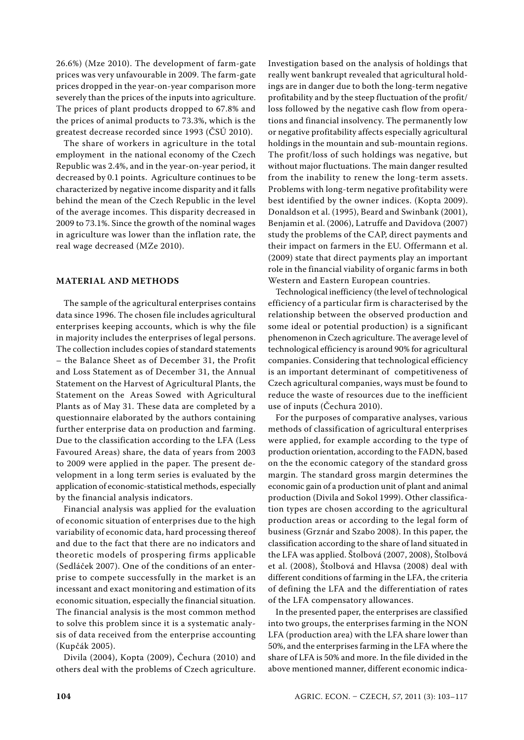26.6%) (Mze 2010). The development of farm-gate prices was very unfavourable in 2009. The farm-gate prices dropped in the year-on-year comparison more severely than the prices of the inputs into agriculture. The prices of plant products dropped to 67.8% and the prices of animal products to 73.3%, which is the greatest decrease recorded since 1993 (ČSÚ 2010).

The share of workers in agriculture in the total employment in the national economy of the Czech Republic was 2.4%, and in the year-on-year period, it decreased by 0.1 points. Agriculture continues to be characterized by negative income disparity and it falls behind the mean of the Czech Republic in the level of the average incomes. This disparity decreased in 2009 to 73.1%. Since the growth of the nominal wages in agriculture was lower than the inflation rate, the real wage decreased (MZe 2010).

#### **Material and methods**

The sample of the agricultural enterprises contains data since 1996. The chosen file includes agricultural enterprises keeping accounts, which is why the file in majority includes the enterprises of legal persons. The collection includes copies of standard statements – the Balance Sheet as of December 31, the Profit and Loss Statement as of December 31, the Annual Statement on the Harvest of Agricultural Plants, the Statement on the Areas Sowed with Agricultural Plants as of May 31. These data are completed by a questionnaire elaborated by the authors containing further enterprise data on production and farming. Due to the classification according to the LFA (Less Favoured Areas) share, the data of years from 2003 to 2009 were applied in the paper. The present development in a long term series is evaluated by the application of economic-statistical methods, especially by the financial analysis indicators.

Financial analysis was applied for the evaluation of economic situation of enterprises due to the high variability of economic data, hard processing thereof and due to the fact that there are no indicators and theoretic models of prospering firms applicable (Sedláček 2007). One of the conditions of an enterprise to compete successfully in the market is an incessant and exact monitoring and estimation of its economic situation, especially the financial situation. The financial analysis is the most common method to solve this problem since it is a systematic analysis of data received from the enterprise accounting (Kupčák 2005).

Divila (2004), Kopta (2009), Čechura (2010) and others deal with the problems of Czech agriculture. Investigation based on the analysis of holdings that really went bankrupt revealed that agricultural holdings are in danger due to both the long-term negative profitability and by the steep fluctuation of the profit/ loss followed by the negative cash flow from operations and financial insolvency. The permanently low or negative profitability affects especially agricultural holdings in the mountain and sub-mountain regions. The profit/loss of such holdings was negative, but without major fluctuations. The main danger resulted from the inability to renew the long-term assets. Problems with long-term negative profitability were best identified by the owner indices. (Kopta 2009). Donaldson et al. (1995), Beard and Swinbank (2001), Benjamin et al. (2006), Latruffe and Davidova (2007) study the problems of the CAP, direct payments and their impact on farmers in the EU. Offermann et al. (2009) state that direct payments play an important role in the financial viability of organic farms in both Western and Eastern European countries.

Technological inefficiency (the level of technological efficiency of a particular firm is characterised by the relationship between the observed production and some ideal or potential production) is a significant phenomenon in Czech agriculture. The average level of technological efficiency is around 90% for agricultural companies. Considering that technological efficiency is an important determinant of competitiveness of Czech agricultural companies, ways must be found to reduce the waste of resources due to the inefficient use of inputs (Čechura 2010).

For the purposes of comparative analyses, various methods of classification of agricultural enterprises were applied, for example according to the type of production orientation, according to the FADN, based on the the economic category of the standard gross margin. The standard gross margin determines the economic gain of a production unit of plant and animal production (Divila and Sokol 1999). Other classification types are chosen according to the agricultural production areas or according to the legal form of business (Grznár and Szabo 2008). In this paper, the classification according to the share of land situated in the LFA was applied. Štolbová (2007, 2008), Štolbová et al. (2008), Štolbová and Hlavsa (2008) deal with different conditions of farming in the LFA, the criteria of defining the LFA and the differentiation of rates of the LFA compensatory allowances.

In the presented paper, the enterprises are classified into two groups, the enterprises farming in the NON LFA (production area) with the LFA share lower than 50%, and the enterprises farming in the LFA where the share of LFA is 50% and more. In the file divided in the above mentioned manner, different economic indica-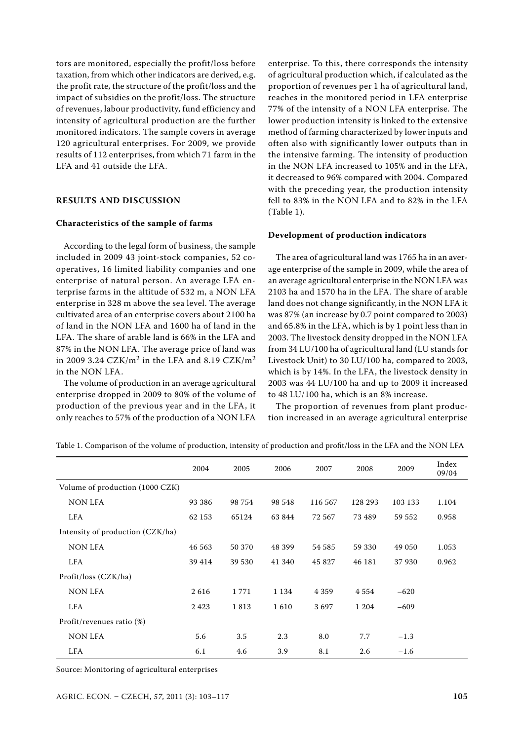tors are monitored, especially the profit/loss before taxation, from which other indicators are derived, e.g. the profit rate, the structure of the profit/loss and the impact of subsidies on the profit/loss. The structure of revenues, labour productivity, fund efficiency and intensity of agricultural production are the further monitored indicators. The sample covers in average 120 agricultural enterprises. For 2009, we provide results of 112 enterprises, from which 71 farm in the LFA and 41 outside the LFA.

#### **RESULTS AND DISCUSSION**

#### **Characteristics of the sample of farms**

According to the legal form of business, the sample included in 2009 43 joint-stock companies, 52 cooperatives, 16 limited liability companies and one enterprise of natural person. An average LFA enterprise farms in the altitude of 532 m, a NON LFA enterprise in 328 m above the sea level. The average cultivated area of an enterprise covers about 2100 ha of land in the NON LFA and 1600 ha of land in the LFA. The share of arable land is 66% in the LFA and 87% in the NON LFA. The average price of land was in 2009 3.24 CZK/m<sup>2</sup> in the LFA and 8.19 CZK/m<sup>2</sup> in the NON LFA.

The volume of production in an average agricultural enterprise dropped in 2009 to 80% of the volume of production of the previous year and in the LFA, it only reaches to 57% of the production of a NON LFA

enterprise. To this, there corresponds the intensity of agricultural production which, if calculated as the proportion of revenues per 1 ha of agricultural land, reaches in the monitored period in LFA enterprise 77% of the intensity of a NON LFA enterprise. The lower production intensity is linked to the extensive method of farming characterized by lower inputs and often also with significantly lower outputs than in the intensive farming. The intensity of production in the NON LFA increased to 105% and in the LFA, it decreased to 96% compared with 2004. Compared with the preceding year, the production intensity fell to 83% in the NON LFA and to 82% in the LFA (Table 1).

#### **Development of production indicators**

The area of agricultural land was 1765 ha in an average enterprise of the sample in 2009, while the area of an average agricultural enterprise in the NON LFA was 2103 ha and 1570 ha in the LFA. The share of arable land does not change significantly, in the NON LFA it was 87% (an increase by 0.7 point compared to 2003) and 65.8% in the LFA, which is by 1 point less than in 2003. The livestock density dropped in the NON LFA from 34 LU/100 ha of agricultural land (LU stands for Livestock Unit) to 30 LU/100 ha, compared to 2003, which is by 14%. In the LFA, the livestock density in 2003 was 44 LU/100 ha and up to 2009 it increased to 48 LU/100 ha, which is an 8% increase.

The proportion of revenues from plant production increased in an average agricultural enterprise

|                                  | 2004   | 2005   | 2006    | 2007    | 2008    | 2009    | Index<br>09/04 |
|----------------------------------|--------|--------|---------|---------|---------|---------|----------------|
| Volume of production (1000 CZK)  |        |        |         |         |         |         |                |
| <b>NON LFA</b>                   | 93 386 | 98 754 | 98 548  | 116 567 | 128 293 | 103 133 | 1.104          |
| LFA                              | 62 153 | 65124  | 63 844  | 72 567  | 73 489  | 59 552  | 0.958          |
| Intensity of production (CZK/ha) |        |        |         |         |         |         |                |
| NON LFA                          | 46 563 | 50 370 | 48 399  | 54 585  | 59 330  | 49 050  | 1.053          |
| LFA                              | 39 414 | 39 530 | 41 340  | 45 827  | 46 181  | 37930   | 0.962          |
| Profit/loss (CZK/ha)             |        |        |         |         |         |         |                |
| <b>NON LFA</b>                   | 2616   | 1771   | 1 1 3 4 | 4 3 5 9 | 4554    | $-620$  |                |
| LFA                              | 2423   | 1813   | 1610    | 3697    | 1 204   | $-609$  |                |
| Profit/revenues ratio (%)        |        |        |         |         |         |         |                |
| NON LFA                          | 5.6    | 3.5    | 2.3     | 8.0     | 7.7     | $-1.3$  |                |
| LFA                              | 6.1    | 4.6    | 3.9     | 8.1     | 2.6     | $-1.6$  |                |

Table 1. Comparison of the volume of production, intensity of production and profit/loss in the LFA and the NON LFA

Source: Monitoring of agricultural enterprises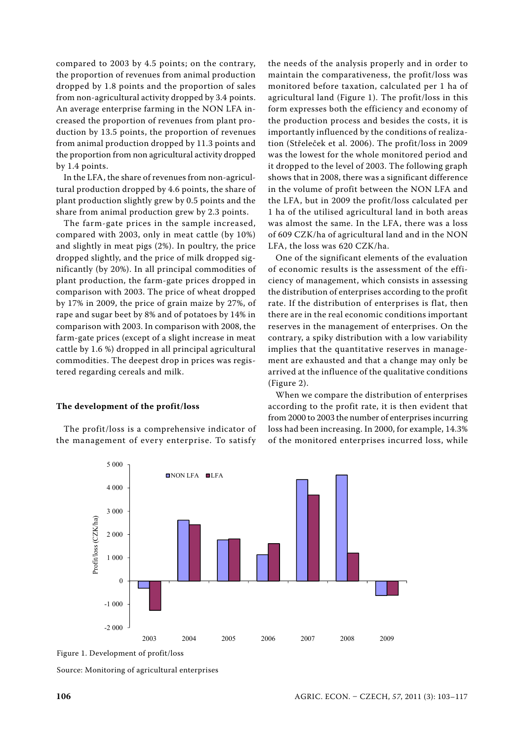compared to 2003 by 4.5 points; on the contrary, the proportion of revenues from animal production dropped by 1.8 points and the proportion of sales from non-agricultural activity dropped by 3.4 points. An average enterprise farming in the NON LFA increased the proportion of revenues from plant production by 13.5 points, the proportion of revenues from animal production dropped by 11.3 points and the proportion from non agricultural activity dropped by 1.4 points.

In the LFA, the share of revenues from non-agricultural production dropped by 4.6 points, the share of plant production slightly grew by 0.5 points and the share from animal production grew by 2.3 points.

The farm-gate prices in the sample increased, compared with 2003, only in meat cattle (by 10%) and slightly in meat pigs (2%). In poultry, the price dropped slightly, and the price of milk dropped significantly (by 20%). In all principal commodities of plant production, the farm-gate prices dropped in comparison with 2003. The price of wheat dropped by 17% in 2009, the price of grain maize by 27%, of rape and sugar beet by 8% and of potatoes by 14% in comparison with 2003. In comparison with 2008, the farm-gate prices (except of a slight increase in meat cattle by 1.6 %) dropped in all principal agricultural commodities. The deepest drop in prices was registered regarding cereals and milk.

#### **The development of the profit/loss**

The profit/loss is a comprehensive indicator of the management of every enterprise. To satisfy

the needs of the analysis properly and in order to maintain the comparativeness, the profit/loss was monitored before taxation, calculated per 1 ha of agricultural land (Figure 1). The profit/loss in this form expresses both the efficiency and economy of the production process and besides the costs, it is importantly influenced by the conditions of realization (Střeleček et al. 2006). The profit/loss in 2009 was the lowest for the whole monitored period and it dropped to the level of 2003. The following graph shows that in 2008, there was a significant difference in the volume of profit between the NON LFA and the LFA, but in 2009 the profit/loss calculated per 1 ha of the utilised agricultural land in both areas was almost the same. In the LFA, there was a loss of 609 CZK/ha of agricultural land and in the NON LFA, the loss was 620 CZK/ha.

One of the significant elements of the evaluation of economic results is the assessment of the efficiency of management, which consists in assessing the distribution of enterprises according to the profit rate. If the distribution of enterprises is flat, then there are in the real economic conditions important reserves in the management of enterprises. On the contrary, a spiky distribution with a low variability implies that the quantitative reserves in management are exhausted and that a change may only be arrived at the influence of the qualitative conditions (Figure 2).

When we compare the distribution of enterprises according to the profit rate, it is then evident that from 2000 to 2003 the number of enterprises incurring loss had been increasing. In 2000, for example, 14.3% of the monitored enterprises incurred loss, while



Figure 1. Development of profit/loss

Source: Monitoring of agricultural enterprises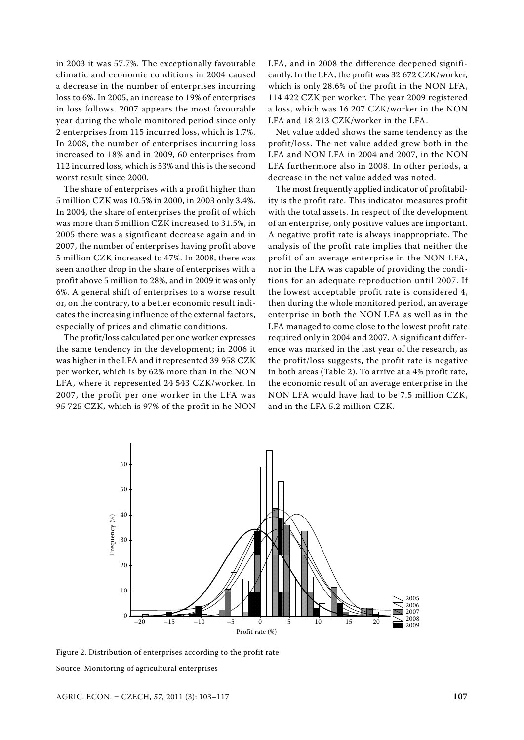in 2003 it was 57.7%. The exceptionally favourable climatic and economic conditions in 2004 caused a decrease in the number of enterprises incurring loss to 6%. In 2005, an increase to 19% of enterprises in loss follows. 2007 appears the most favourable year during the whole monitored period since only 2 enterprises from 115 incurred loss, which is 1.7%. In 2008, the number of enterprises incurring loss increased to 18% and in 2009, 60 enterprises from 112 incurred loss, which is 53% and this is the second worst result since 2000.

The share of enterprises with a profit higher than 5 million CZK was 10.5% in 2000, in 2003 only 3.4%. In 2004, the share of enterprises the profit of which was more than 5 million CZK increased to 31.5%, in 2005 there was a significant decrease again and in 2007, the number of enterprises having profit above 5 million CZK increased to 47%. In 2008, there was seen another drop in the share of enterprises with a profit above 5 million to 28%, and in 2009 it was only 6%. A general shift of enterprises to a worse result or, on the contrary, to a better economic result indicates the increasing influence of the external factors, especially of prices and climatic conditions.

The profit/loss calculated per one worker expresses the same tendency in the development; in 2006 it was higher in the LFA and it represented 39 958 CZK per worker, which is by 62% more than in the NON LFA, where it represented 24 543 CZK/worker. In 2007, the profit per one worker in the LFA was 95 725 CZK, which is 97% of the profit in he NON

LFA, and in 2008 the difference deepened significantly. In the LFA, the profit was 32 672 CZK/worker, which is only 28.6% of the profit in the NON LFA, 114 422 CZK per worker. The year 2009 registered a loss, which was 16 207 CZK/worker in the NON LFA and 18 213 CZK/worker in the LFA.

Net value added shows the same tendency as the profit/loss. The net value added grew both in the LFA and NON LFA in 2004 and 2007, in the NON LFA furthermore also in 2008. In other periods, a decrease in the net value added was noted.

The most frequently applied indicator of profitability is the profit rate. This indicator measures profit with the total assets. In respect of the development of an enterprise, only positive values are important. A negative profit rate is always inappropriate. The analysis of the profit rate implies that neither the profit of an average enterprise in the NON LFA, nor in the LFA was capable of providing the conditions for an adequate reproduction until 2007. If the lowest acceptable profit rate is considered 4, then during the whole monitored period, an average enterprise in both the NON LFA as well as in the LFA managed to come close to the lowest profit rate required only in 2004 and 2007. A significant difference was marked in the last year of the research, as the profit/loss suggests, the profit rate is negative in both areas (Table 2). To arrive at a 4% profit rate, the economic result of an average enterprise in the NON LFA would have had to be 7.5 million CZK, and in the LFA 5.2 million CZK.



Figure 2. Distribution of enterprises according to the profit rate Source: Monitoring of agricultural enterprises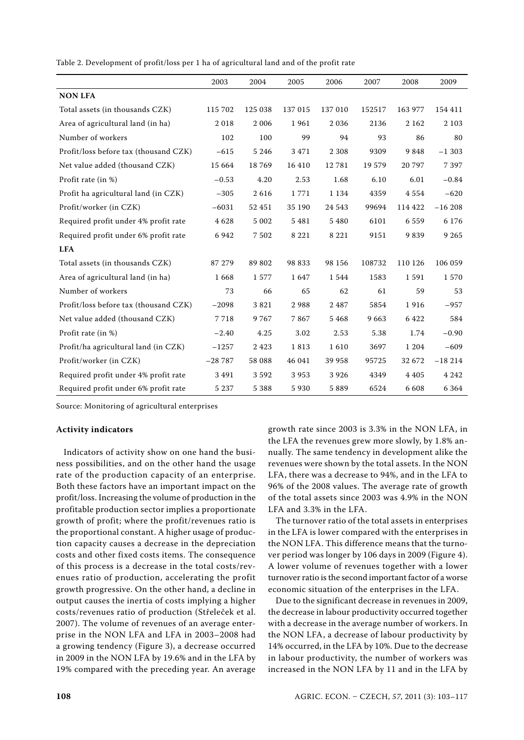Table 2. Development of profit/loss per 1 ha of agricultural land and of the profit rate

|                                       | 2003     | 2004    | 2005    | 2006    | 2007   | 2008    | 2009     |
|---------------------------------------|----------|---------|---------|---------|--------|---------|----------|
| <b>NON LFA</b>                        |          |         |         |         |        |         |          |
| Total assets (in thousands CZK)       | 115 702  | 125 038 | 137 015 | 137 010 | 152517 | 163 977 | 154 411  |
| Area of agricultural land (in ha)     | 2018     | 2 0 0 6 | 1961    | 2036    | 2136   | 2 1 6 2 | 2 1 0 3  |
| Number of workers                     | 102      | 100     | 99      | 94      | 93     | 86      | 80       |
| Profit/loss before tax (thousand CZK) | $-615$   | 5 2 4 6 | 3471    | 2 3 0 8 | 9309   | 9848    | $-1303$  |
| Net value added (thousand CZK)        | 15 664   | 18769   | 16 410  | 12781   | 19 579 | 20 797  | 7 3 9 7  |
| Profit rate (in %)                    | $-0.53$  | 4.20    | 2.53    | 1.68    | 6.10   | 6.01    | $-0.84$  |
| Profit ha agricultural land (in CZK)  | $-305$   | 2616    | 1771    | 1 1 3 4 | 4359   | 4554    | $-620$   |
| Profit/worker (in CZK)                | $-6031$  | 52 451  | 35 190  | 24 5 43 | 99694  | 114 422 | $-16208$ |
| Required profit under 4% profit rate  | 4628     | 5 0 0 2 | 5 4 8 1 | 5 4 8 0 | 6101   | 6559    | 6 1 7 6  |
| Required profit under 6% profit rate  | 6 9 4 2  | 7502    | 8 2 2 1 | 8 2 2 1 | 9151   | 9839    | 9 2 6 5  |
| <b>LFA</b>                            |          |         |         |         |        |         |          |
| Total assets (in thousands CZK)       | 87 279   | 89 802  | 98 833  | 98 156  | 108732 | 110 126 | 106 059  |
| Area of agricultural land (in ha)     | 1668     | 1577    | 1647    | 1544    | 1583   | 1591    | 1570     |
| Number of workers                     | 73       | 66      | 65      | 62      | 61     | 59      | 53       |
| Profit/loss before tax (thousand CZK) | $-2098$  | 3821    | 2988    | 2487    | 5854   | 1916    | $-957$   |
| Net value added (thousand CZK)        | 7718     | 9767    | 7867    | 5468    | 9663   | 6422    | 584      |
| Profit rate (in %)                    | $-2.40$  | 4.25    | 3.02    | 2.53    | 5.38   | 1.74    | $-0.90$  |
| Profit/ha agricultural land (in CZK)  | $-1257$  | 2423    | 1813    | 1610    | 3697   | 1 204   | $-609$   |
| Profit/worker (in CZK)                | $-28787$ | 58 088  | 46 041  | 39 958  | 95725  | 32 672  | $-18214$ |
| Required profit under 4% profit rate  | 3 4 9 1  | 3592    | 3953    | 3926    | 4349   | 4 4 0 5 | 4 2 4 2  |
| Required profit under 6% profit rate  | 5 2 3 7  | 5 3 8 8 | 5930    | 5889    | 6524   | 6 6 0 8 | 6 3 6 4  |

#### **Activity indicators**

Indicators of activity show on one hand the business possibilities, and on the other hand the usage rate of the production capacity of an enterprise. Both these factors have an important impact on the profit/loss. Increasing the volume of production in the profitable production sector implies a proportionate growth of profit; where the profit/revenues ratio is the proportional constant. A higher usage of production capacity causes a decrease in the depreciation costs and other fixed costs items. The consequence of this process is a decrease in the total costs/revenues ratio of production, accelerating the profit growth progressive. On the other hand, a decline in output causes the inertia of costs implying a higher costs/revenues ratio of production (Střeleček et al. 2007). The volume of revenues of an average enterprise in the NON LFA and LFA in 2003–2008 had a growing tendency (Figure 3), a decrease occurred in 2009 in the NON LFA by 19.6% and in the LFA by 19% compared with the preceding year. An average growth rate since 2003 is 3.3% in the NON LFA, in the LFA the revenues grew more slowly, by 1.8% annually. The same tendency in development alike the revenues were shown by the total assets. In the NON LFA, there was a decrease to 94%, and in the LFA to 96% of the 2008 values. The average rate of growth of the total assets since 2003 was 4.9% in the NON LFA and 3.3% in the LFA.

The turnover ratio of the total assets in enterprises in the LFA is lower compared with the enterprises in the NON LFA. This difference means that the turnover period was longer by 106 days in 2009 (Figure 4). A lower volume of revenues together with a lower turnover ratio is the second important factor of a worse economic situation of the enterprises in the LFA.

Due to the significant decrease in revenues in 2009, the decrease in labour productivity occurred together with a decrease in the average number of workers. In the NON LFA, a decrease of labour productivity by 14% occurred, in the LFA by 10%. Due to the decrease in labour productivity, the number of workers was increased in the NON LFA by 11 and in the LFA by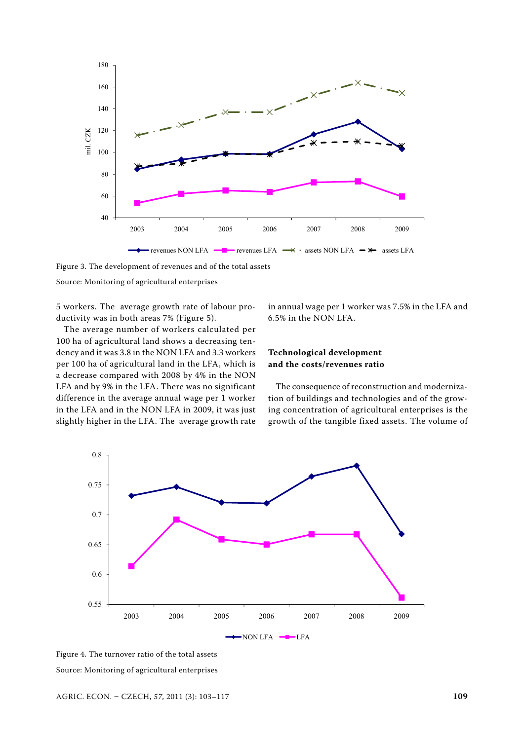

Figure 3. The development of revenues and of the total assets

5 workers. The average growth rate of labour productivity was in both areas 7% (Figure 5).

The average number of workers calculated per 100 ha of agricultural land shows a decreasing tendency and it was 3.8 in the NON LFA and 3.3 workers per 100 ha of agricultural land in the LFA, which is a decrease compared with 2008 by 4% in the NON LFA and by 9% in the LFA. There was no significant difference in the average annual wage per 1 worker in the LFA and in the NON LFA in 2009, it was just slightly higher in the LFA. The average growth rate in annual wage per 1 worker was 7.5% in the LFA and 6.5% in the NON LFA.

### **Technological development and the costs/revenues ratio**

The consequence of reconstruction and modernization of buildings and technologies and of the growing concentration of agricultural enterprises is the growth of the tangible fixed assets. The volume of



Figure 4. The turnover ratio of the total assets Source: Monitoring of agricultural enterprises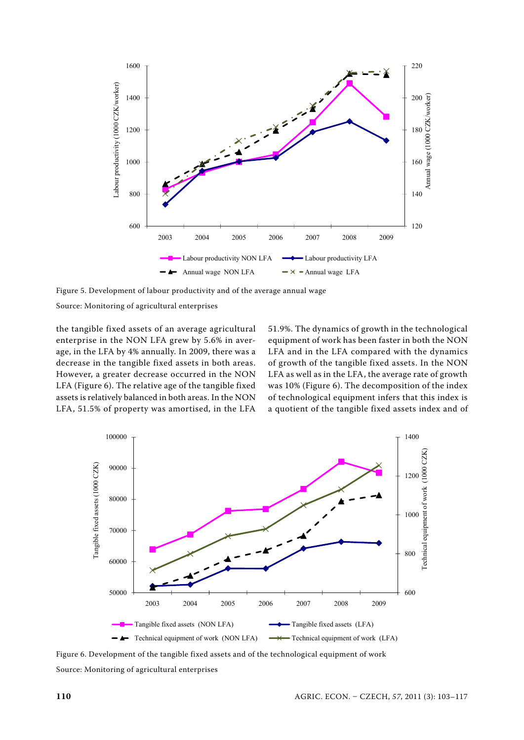

Figure 5. Development of labour productivity and of the average annual wage

the tangible fixed assets of an average agricultural enterprise in the NON LFA grew by 5.6% in average, in the LFA by 4% annually. In 2009, there was a decrease in the tangible fixed assets in both areas. However, a greater decrease occurred in the NON LFA (Figure 6). The relative age of the tangible fixed assets is relatively balanced in both areas. In the NON LFA, 51.5% of property was amortised, in the LFA

51.9%. The dynamics of growth in the technological equipment of work has been faster in both the NON LFA and in the LFA compared with the dynamics of growth of the tangible fixed assets. In the NON LFA as well as in the LFA, the average rate of growth was 10% (Figure 6). The decomposition of the index of technological equipment infers that this index is a quotient of the tangible fixed assets index and of



Figure 6. Development of the tangible fixed assets and of the technological equipment of work Source: Monitoring of agricultural enterprises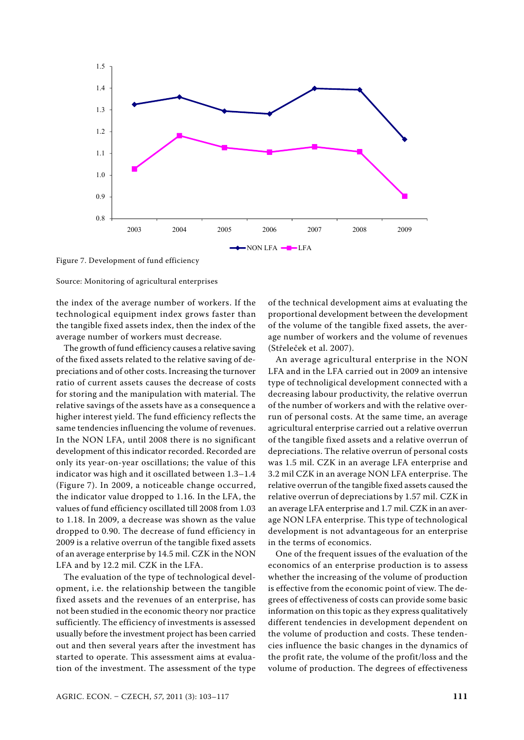

Figure 7. Development of fund efficiency

the index of the average number of workers. If the technological equipment index grows faster than the tangible fixed assets index, then the index of the average number of workers must decrease.

The growth of fund efficiency causes a relative saving of the fixed assets related to the relative saving of depreciations and of other costs. Increasing the turnover ratio of current assets causes the decrease of costs for storing and the manipulation with material. The relative savings of the assets have as a consequence a higher interest yield. The fund efficiency reflects the same tendencies influencing the volume of revenues. In the NON LFA, until 2008 there is no significant development of this indicator recorded. Recorded are only its year-on-year oscillations; the value of this indicator was high and it oscillated between 1.3–1.4 (Figure 7). In 2009, a noticeable change occurred, the indicator value dropped to 1.16. In the LFA, the values of fund efficiency oscillated till 2008 from 1.03 to 1.18. In 2009, a decrease was shown as the value dropped to 0.90. The decrease of fund efficiency in 2009 is a relative overrun of the tangible fixed assets of an average enterprise by 14.5 mil. CZK in the NON LFA and by 12.2 mil. CZK in the LFA.

The evaluation of the type of technological development, i.e. the relationship between the tangible fixed assets and the revenues of an enterprise, has not been studied in the economic theory nor practice sufficiently. The efficiency of investments is assessed usually before the investment project has been carried out and then several years after the investment has started to operate. This assessment aims at evaluation of the investment. The assessment of the type

of the technical development aims at evaluating the proportional development between the development of the volume of the tangible fixed assets, the average number of workers and the volume of revenues (Střeleček et al. 2007).

An average agricultural enterprise in the NON LFA and in the LFA carried out in 2009 an intensive type of technoligical development connected with a decreasing labour productivity, the relative overrun of the number of workers and with the relative overrun of personal costs. At the same time, an average agricultural enterprise carried out a relative overrun of the tangible fixed assets and a relative overrun of depreciations. The relative overrun of personal costs was 1.5 mil. CZK in an average LFA enterprise and 3.2 mil CZK in an average NON LFA enterprise. The relative overrun of the tangible fixed assets caused the relative overrun of depreciations by 1.57 mil. CZK in an average LFA enterprise and 1.7 mil. CZK in an average NON LFA enterprise. This type of technological development is not advantageous for an enterprise in the terms of economics.

One of the frequent issues of the evaluation of the economics of an enterprise production is to assess whether the increasing of the volume of production is effective from the economic point of view. The degrees of effectiveness of costs can provide some basic information on this topic as they express qualitatively different tendencies in development dependent on the volume of production and costs. These tendencies influence the basic changes in the dynamics of the profit rate, the volume of the profit/loss and the volume of production. The degrees of effectiveness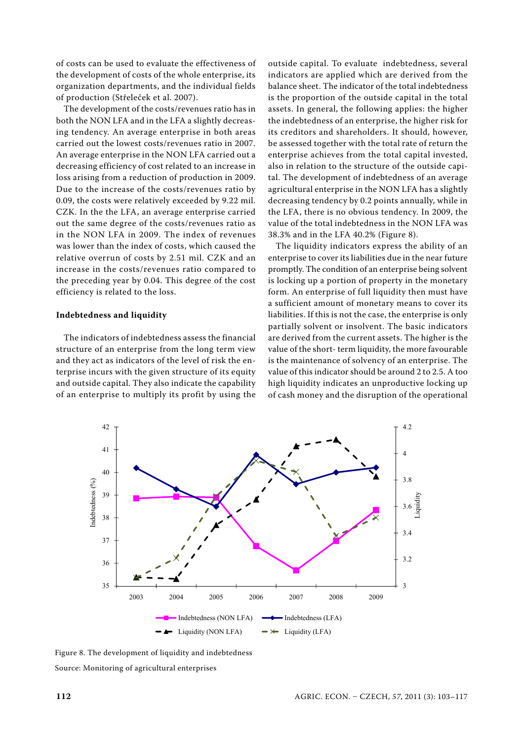of costs can be used to evaluate the effectiveness of the development of costs of the whole enterprise, its organization departments, and the individual fields of production (Střeleček et al. 2007).

The development of the costs/revenues ratio has in both the NON LFA and in the LFA a slightly decreasing tendency. An average enterprise in both areas carried out the lowest costs/revenues ratio in 2007. An average enterprise in the NON LFA carried out a decreasing efficiency of cost related to an increase in loss arising from a reduction of production in 2009. Due to the increase of the costs/revenues ratio by 0.09, the costs were relatively exceeded by 9.22 mil. CZK. In the the LFA, an average enterprise carried out the same degree of the costs/revenues ratio as in the NON LFA in 2009. The index of revenues was lower than the index of costs, which caused the relative overrun of costs by 2.51 mil. CZK and an increase in the costs/revenues ratio compared to the preceding year by 0.04. This degree of the cost efficiency is related to the loss.

#### **Indebtedness and liquidity**

The indicators of indebtedness assess the financial structure of an enterprise from the long term view and they act as indicators of the level of risk the enterprise incurs with the given structure of its equity and outside capital. They also indicate the capability of an enterprise to multiply its profit by using the

outside capital. To evaluate indebtedness, several indicators are applied which are derived from the balance sheet. The indicator of the total indebtedness is the proportion of the outside capital in the total assets. In general, the following applies: the higher the indebtedness of an enterprise, the higher risk for its creditors and shareholders. It should, however, be assessed together with the total rate of return the enterprise achieves from the total capital invested, also in relation to the structure of the outside capital. The development of indebtedness of an average agricultural enterprise in the NON LFA has a slightly decreasing tendency by 0.2 points annually, while in the LFA, there is no obvious tendency. In 2009, the value of the total indebtedness in the NON LFA was 38.3% and in the LFA 40.2% (Figure 8).

The liquidity indicators express the ability of an enterprise to cover its liabilities due in the near future promptly. The condition of an enterprise being solvent is locking up a portion of property in the monetary form. An enterprise of full liquidity then must have a sufficient amount of monetary means to cover its liabilities. If this is not the case, the enterprise is only partially solvent or insolvent. The basic indicators are derived from the current assets. The higher is the value of the short- term liquidity, the more favourable is the maintenance of solvency of an enterprise. The value of this indicator should be around 2 to 2.5. A too high liquidity indicates an unproductive locking up of cash money and the disruption of the operational



Figure 8. The development of liquidity and indebtedness Source: Monitoring of agricultural enterprises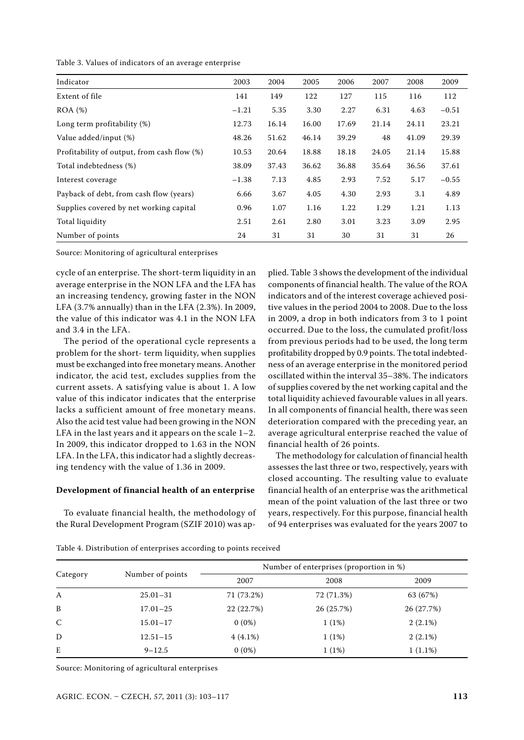Table 3. Values of indicators of an average enterprise

| Indicator                                   | 2003    | 2004  | 2005  | 2006  | 2007  | 2008  | 2009    |
|---------------------------------------------|---------|-------|-------|-------|-------|-------|---------|
| Extent of file                              | 141     | 149   | 122   | 127   | 115   | 116   | 112     |
| $ROA (\%)$                                  | $-1.21$ | 5.35  | 3.30  | 2.27  | 6.31  | 4.63  | $-0.51$ |
| Long term profitability (%)                 | 12.73   | 16.14 | 16.00 | 17.69 | 21.14 | 24.11 | 23.21   |
| Value added/input (%)                       | 48.26   | 51.62 | 46.14 | 39.29 | 48    | 41.09 | 29.39   |
| Profitability of output, from cash flow (%) | 10.53   | 20.64 | 18.88 | 18.18 | 24.05 | 21.14 | 15.88   |
| Total indebtedness (%)                      | 38.09   | 37.43 | 36.62 | 36.88 | 35.64 | 36.56 | 37.61   |
| Interest coverage                           | $-1.38$ | 7.13  | 4.85  | 2.93  | 7.52  | 5.17  | $-0.55$ |
| Payback of debt, from cash flow (years)     | 6.66    | 3.67  | 4.05  | 4.30  | 2.93  | 3.1   | 4.89    |
| Supplies covered by net working capital     | 0.96    | 1.07  | 1.16  | 1.22  | 1.29  | 1.21  | 1.13    |
| Total liquidity                             | 2.51    | 2.61  | 2.80  | 3.01  | 3.23  | 3.09  | 2.95    |
| Number of points                            | 24      | 31    | 31    | 30    | 31    | 31    | 26      |

cycle of an enterprise. The short-term liquidity in an average enterprise in the NON LFA and the LFA has an increasing tendency, growing faster in the NON LFA (3.7% annually) than in the LFA (2.3%). In 2009, the value of this indicator was 4.1 in the NON LFA and 3.4 in the LFA.

The period of the operational cycle represents a problem for the short- term liquidity, when supplies must be exchanged into free monetary means. Another indicator, the acid test, excludes supplies from the current assets. A satisfying value is about 1. A low value of this indicator indicates that the enterprise lacks a sufficient amount of free monetary means. Also the acid test value had been growing in the NON LFA in the last years and it appears on the scale 1–2. In 2009, this indicator dropped to 1.63 in the NON LFA. In the LFA, this indicator had a slightly decreasing tendency with the value of 1.36 in 2009.

#### **Development of financial health of an enterprise**

To evaluate financial health, the methodology of the Rural Development Program (SZIF 2010) was ap-

plied. Table 3 shows the development of the individual components of financial health. The value of the ROA indicators and of the interest coverage achieved positive values in the period 2004 to 2008. Due to the loss in 2009, a drop in both indicators from 3 to 1 point occurred. Due to the loss, the cumulated profit/loss from previous periods had to be used, the long term profitability dropped by 0.9 points. The total indebtedness of an average enterprise in the monitored period oscillated within the interval 35–38%. The indicators of supplies covered by the net working capital and the total liquidity achieved favourable values in all years. In all components of financial health, there was seen deterioration compared with the preceding year, an average agricultural enterprise reached the value of financial health of 26 points.

The methodology for calculation of financial health assesses the last three or two, respectively, years with closed accounting. The resulting value to evaluate financial health of an enterprise was the arithmetical mean of the point valuation of the last three or two years, respectively. For this purpose, financial health of 94 enterprises was evaluated for the years 2007 to

|              |                  | Number of enterprises (proportion in %) |            |            |  |  |  |
|--------------|------------------|-----------------------------------------|------------|------------|--|--|--|
| Category     | Number of points | 2007                                    | 2008       | 2009       |  |  |  |
| A            | $25.01 - 31$     | 71 (73.2%)                              | 72 (71.3%) | 63 (67%)   |  |  |  |
| B            | $17.01 - 25$     | 22 (22.7%)                              | 26 (25.7%) | 26 (27.7%) |  |  |  |
| $\mathsf{C}$ | $15.01 - 17$     | $0(0\%)$                                | 1(1%)      | $2(2.1\%)$ |  |  |  |
| D            | $12.51 - 15$     | $4(4.1\%)$                              | 1(1%)      | $2(2.1\%)$ |  |  |  |
| E            | $9 - 12.5$       | $0(0\%)$                                | 1(1%)      | $1(1.1\%)$ |  |  |  |

Table 4. Distribution of enterprises according to points received

Source: Monitoring of agricultural enterprises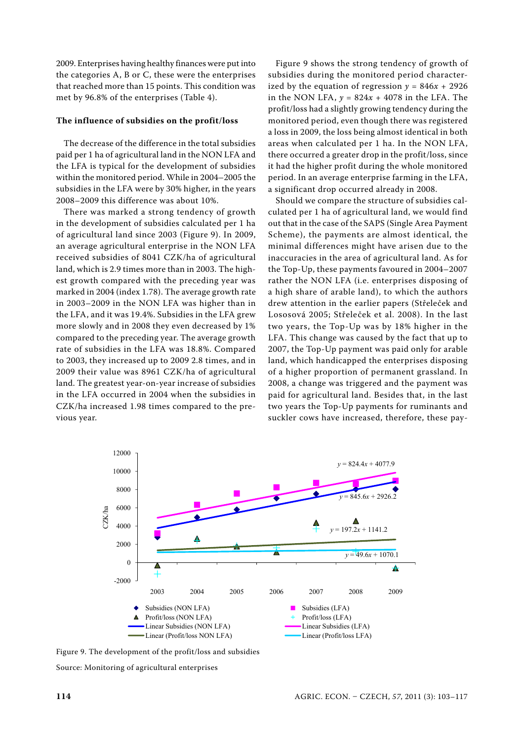2009. Enterprises having healthy finances were put into the categories A, B or C, these were the enterprises that reached more than 15 points. This condition was met by 96.8% of the enterprises (Table 4).

#### **The influence of subsidies on the profit/loss**

The decrease of the difference in the total subsidies paid per 1 ha of agricultural land in the NON LFA and the LFA is typical for the development of subsidies within the monitored period. While in 2004–2005 the subsidies in the LFA were by 30% higher, in the years 2008–2009 this difference was about 10%.

There was marked a strong tendency of growth in the development of subsidies calculated per 1 ha of agricultural land since 2003 (Figure 9). In 2009, an average agricultural enterprise in the NON LFA received subsidies of 8041 CZK/ha of agricultural land, which is 2.9 times more than in 2003. The highest growth compared with the preceding year was marked in 2004 (index 1.78). The average growth rate in 2003–2009 in the NON LFA was higher than in the LFA, and it was 19.4%. Subsidies in the LFA grew more slowly and in 2008 they even decreased by 1% compared to the preceding year. The average growth rate of subsidies in the LFA was 18.8%. Compared to 2003, they increased up to 2009 2.8 times, and in 2009 their value was 8961 CZK/ha of agricultural land. The greatest year-on-year increase of subsidies in the LFA occurred in 2004 when the subsidies in CZK/ha increased 1.98 times compared to the previous year.

Figure 9 shows the strong tendency of growth of subsidies during the monitored period characterized by the equation of regression  $y = 846x + 2926$ in the NON LFA,  $y = 824x + 4078$  in the LFA. The profit/loss had a slightly growing tendency during the monitored period, even though there was registered a loss in 2009, the loss being almost identical in both areas when calculated per 1 ha. In the NON LFA, there occurred a greater drop in the profit/loss, since it had the higher profit during the whole monitored period. In an average enterprise farming in the LFA, a significant drop occurred already in 2008.

Should we compare the structure of subsidies calculated per 1 ha of agricultural land, we would find out that in the case of the SAPS (Single Area Payment Scheme), the payments are almost identical, the minimal differences might have arisen due to the inaccuracies in the area of agricultural land. As for the Top-Up, these payments favoured in 2004–2007 rather the NON LFA (i.e. enterprises disposing of a high share of arable land), to which the authors drew attention in the earlier papers (Střeleček and Lososová 2005; Střeleček et al. 2008). In the last two years, the Top-Up was by 18% higher in the LFA. This change was caused by the fact that up to 2007, the Top-Up payment was paid only for arable land, which handicapped the enterprises disposing of a higher proportion of permanent grassland. In 2008, a change was triggered and the payment was paid for agricultural land. Besides that, in the last two years the Top-Up payments for ruminants and suckler cows have increased, therefore, these pay-



Figure 9. The development of the profit/loss and subsidies Source: Monitoring of agricultural enterprises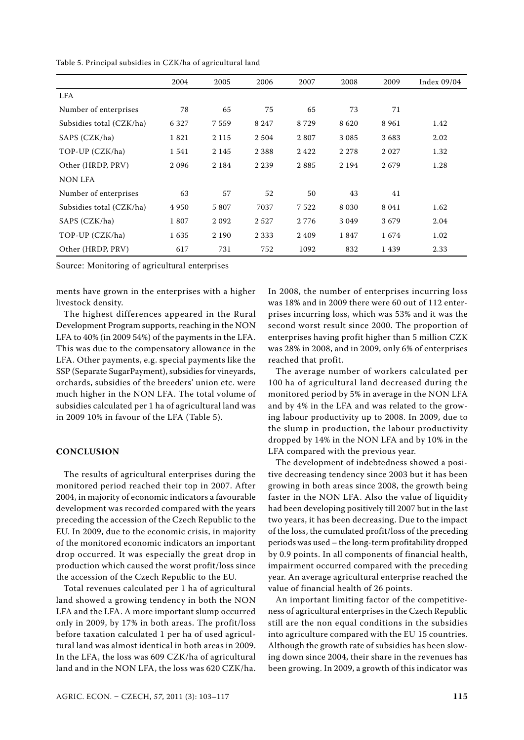|                          | 2004    | 2005    | 2006    | 2007    | 2008    | 2009    | Index 09/04 |
|--------------------------|---------|---------|---------|---------|---------|---------|-------------|
| <b>LFA</b>               |         |         |         |         |         |         |             |
| Number of enterprises    | 78      | 65      | 75      | 65      | 73      | 71      |             |
| Subsidies total (CZK/ha) | 6 3 2 7 | 7 5 5 9 | 8 2 4 7 | 8729    | 8620    | 8 9 6 1 | 1.42        |
| SAPS (CZK/ha)            | 1821    | 2 1 1 5 | 2 5 0 4 | 2807    | 3 0 8 5 | 3683    | 2.02        |
| TOP-UP (CZK/ha)          | 1541    | 2 1 4 5 | 2 3 8 8 | 2422    | 2 2 7 8 | 2 0 2 7 | 1.32        |
| Other (HRDP, PRV)        | 2096    | 2 1 8 4 | 2 2 3 9 | 2885    | 2 1 9 4 | 2679    | 1.28        |
| <b>NON LFA</b>           |         |         |         |         |         |         |             |
| Number of enterprises    | 63      | 57      | 52      | 50      | 43      | 41      |             |
| Subsidies total (CZK/ha) | 4950    | 5 8 0 7 | 7037    | 7522    | 8 0 3 0 | 8 0 4 1 | 1.62        |
| SAPS (CZK/ha)            | 1807    | 2092    | 2 5 2 7 | 2 7 7 6 | 3 0 4 9 | 3679    | 2.04        |
| TOP-UP (CZK/ha)          | 1635    | 2 1 9 0 | 2 3 3 3 | 2 4 0 9 | 1847    | 1674    | 1.02        |
| Other (HRDP, PRV)        | 617     | 731     | 752     | 1092    | 832     | 1439    | 2.33        |

Table 5. Principal subsidies in CZK/ha of agricultural land

ments have grown in the enterprises with a higher livestock density.

The highest differences appeared in the Rural Development Program supports, reaching in the NON LFA to 40% (in 2009 54%) of the payments in the LFA. This was due to the compensatory allowance in the LFA. Other payments, e.g. special payments like the SSP (Separate SugarPayment), subsidies for vineyards, orchards, subsidies of the breeders' union etc. were much higher in the NON LFA. The total volume of subsidies calculated per 1 ha of agricultural land was in 2009 10% in favour of the LFA (Table 5).

### **CONCLUSION**

The results of agricultural enterprises during the monitored period reached their top in 2007. After 2004, in majority of economic indicators a favourable development was recorded compared with the years preceding the accession of the Czech Republic to the EU. In 2009, due to the economic crisis, in majority of the monitored economic indicators an important drop occurred. It was especially the great drop in production which caused the worst profit/loss since the accession of the Czech Republic to the EU.

Total revenues calculated per 1 ha of agricultural land showed a growing tendency in both the NON LFA and the LFA. A more important slump occurred only in 2009, by 17% in both areas. The profit/loss before taxation calculated 1 per ha of used agricultural land was almost identical in both areas in 2009. In the LFA, the loss was 609 CZK/ha of agricultural land and in the NON LFA, the loss was 620 CZK/ha. In 2008, the number of enterprises incurring loss was 18% and in 2009 there were 60 out of 112 enterprises incurring loss, which was 53% and it was the second worst result since 2000. The proportion of enterprises having profit higher than 5 million CZK was 28% in 2008, and in 2009, only 6% of enterprises reached that profit.

The average number of workers calculated per 100 ha of agricultural land decreased during the monitored period by 5% in average in the NON LFA and by 4% in the LFA and was related to the growing labour productivity up to 2008. In 2009, due to the slump in production, the labour productivity dropped by 14% in the NON LFA and by 10% in the LFA compared with the previous year.

The development of indebtedness showed a positive decreasing tendency since 2003 but it has been growing in both areas since 2008, the growth being faster in the NON LFA. Also the value of liquidity had been developing positively till 2007 but in the last two years, it has been decreasing. Due to the impact of the loss, the cumulated profit/loss of the preceding periods was used – the long-term profitability dropped by 0.9 points. In all components of financial health, impairment occurred compared with the preceding year. An average agricultural enterprise reached the value of financial health of 26 points.

An important limiting factor of the competitiveness of agricultural enterprises in the Czech Republic still are the non equal conditions in the subsidies into agriculture compared with the EU 15 countries. Although the growth rate of subsidies has been slowing down since 2004, their share in the revenues has been growing. In 2009, a growth of this indicator was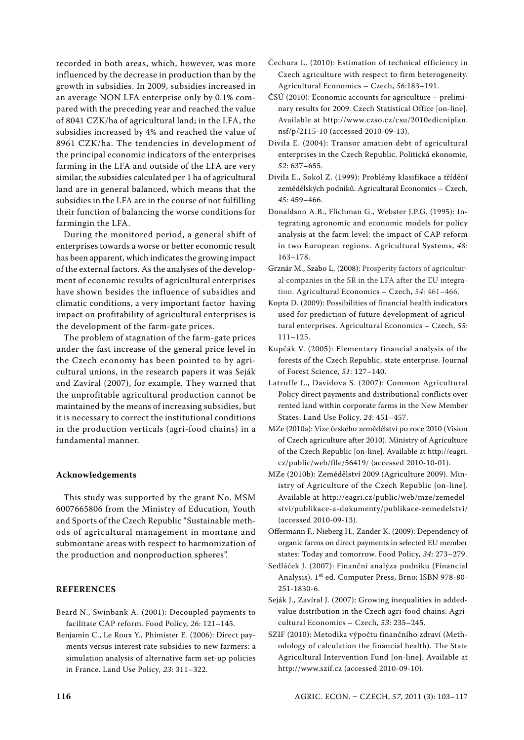recorded in both areas, which, however, was more influenced by the decrease in production than by the growth in subsidies. In 2009, subsidies increased in an average NON LFA enterprise only by 0.1% compared with the preceding year and reached the value of 8041 CZK/ha of agricultural land; in the LFA, the subsidies increased by 4% and reached the value of 8961 CZK/ha. The tendencies in development of the principal economic indicators of the enterprises farming in the LFA and outside of the LFA are very similar, the subsidies calculated per 1 ha of agricultural land are in general balanced, which means that the subsidies in the LFA are in the course of not fulfilling their function of balancing the worse conditions for farmingin the LFA.

During the monitored period, a general shift of enterprises towards a worse or better economic result has been apparent, which indicates the growing impact of the external factors. As the analyses of the development of economic results of agricultural enterprises have shown besides the influence of subsidies and climatic conditions, a very important factor having impact on profitability of agricultural enterprises is the development of the farm-gate prices.

The problem of stagnation of the farm-gate prices under the fast increase of the general price level in the Czech economy has been pointed to by agricultural unions, in the research papers it was Seják and Zavíral (2007), for example. They warned that the unprofitable agricultural production cannot be maintained by the means of increasing subsidies, but it is necessary to correct the institutional conditions in the production verticals (agri-food chains) in a fundamental manner.

#### **Acknowledgements**

This study was supported by the grant No. MSM 6007665806 from the Ministry of Education, Youth and Sports of the Czech Republic "Sustainable methods of agricultural management in montane and submontane areas with respect to harmonization of the production and nonproduction spheres".

#### **References**

- Beard N., Swinbank A. (2001): Decoupled payments to facilitate CAP reform. Food Policy, *26*: 121–145.
- Benjamin C., Le Roux Y., Phimister E. (2006): Direct payments versus interest rate subsidies to new farmers: a simulation analysis of alternative farm set-up policies in France. Land Use Policy, *23*: 311–322.
- Čechura L. (2010): Estimation of technical efficiency in Czech agriculture with respect to firm heterogeneity. Agricultural Economics – Czech, *56*:183–191.
- ČSÚ (2010): Economic accounts for agriculture preliminary results for 2009. Czech Statistical Office [on-line]. Available at http://www.czso.cz/csu/2010edicniplan. nsf/p/2115-10 (accessed 2010-09-13).
- Divila E. (2004): Transor amation debt of agricultural enterprises in the Czech Republic. Politická ekonomie, *52*: 637–655.
- Divila E., Sokol Z. (1999): Problémy klasifikace a třídění zemědělských podniků. Agricultural Economics – Czech, *45*: 459–466.
- Donaldson A.B., Flichman G., Webster J.P.G. (1995): Integrating agronomic and economic models for policy analysis at the farm level: the impact of CAP reform in two European regions. Agricultural Systems, *48*: 163–178.
- Grznár M., Szabo L. (2008): Prosperity factors of agricultural companies in the SR in the LFA after the EU integration. Agricultural Economics – Czech, *54*: 461–466.
- Kopta D. (2009): Possibilities of financial health indicators used for prediction of future development of agricultural enterprises. Agricultural Economics – Czech, *55*: 111–125.
- Kupčák V. (2005): Elementary financial analysis of the forests of the Czech Republic, state enterprise. Journal of Forest Science, *51*: 127–140.
- Latruffe L., Davidova S. (2007): Common Agricultural Policy direct payments and distributional conflicts over rented land within corporate farms in the New Member States. Land Use Policy, *24*: 451–457.
- MZe (2010a): Vize českého zemědělství po roce 2010 (Vision of Czech agriculture after 2010). Ministry of Agriculture of the Czech Republic [on-line]. Available at http://eagri. cz/public/web/file/56419/ (accessed 2010-10-01).
- MZe (2010b): Zemědělství 2009 (Agriculture 2009). Ministry of Agriculture of the Czech Republic [on-line]. Available at http://eagri.cz/public/web/mze/zemedelstvi/publikace-a-dokumenty/publikace-zemedelstvi/ (accessed 2010-09-13).
- Offermann F., Nieberg H., Zander K. (2009): Dependency of organic farms on direct payments in selected EU member states: Today and tomorrow. Food Policy, *34*: 273–279.
- Sedláček J. (2007): Finanční analýza podniku (Financial Analysis). 1st ed. Computer Press, Brno; ISBN 978-80- 251-1830-6.
- Seják J., Zavíral J. (2007): Growing inequalities in addedvalue distribution in the Czech agri-food chains. Agricultural Economics – Czech, *53*: 235–245.
- SZIF (2010): Metodika výpočtu finančního zdraví (Methodology of calculation the financial health). The State Agricultural Intervention Fund [on-line]. Available at http://www.szif.cz (accessed 2010-09-10).